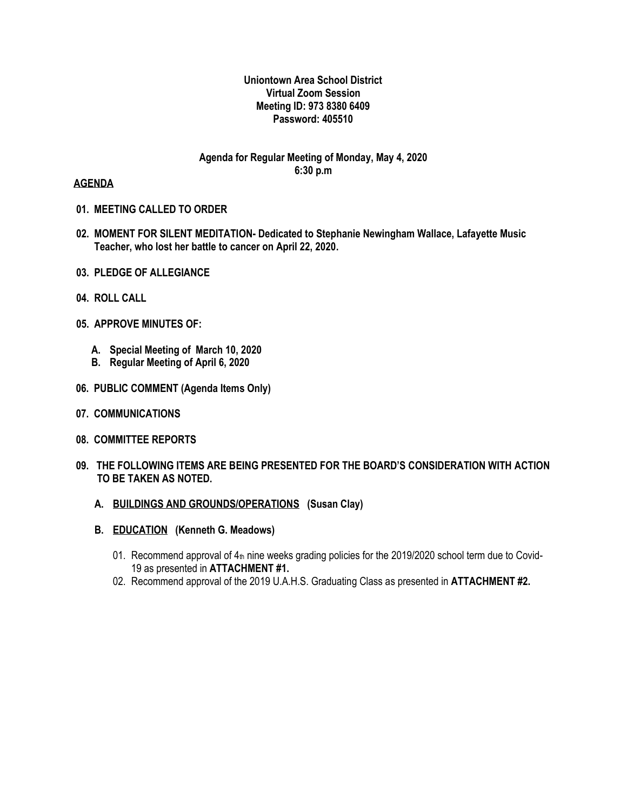#### **Uniontown Area School District Virtual Zoom Session Meeting ID: 973 8380 6409 Password: 405510**

## **Agenda for Regular Meeting of Monday, May 4, 2020 6:30 p.m**

#### **AGENDA**

- **01. MEETING CALLED TO ORDER**
- **02. MOMENT FOR SILENT MEDITATION- Dedicated to Stephanie Newingham Wallace, Lafayette Music Teacher, who lost her battle to cancer on April 22, 2020.**
- **03. PLEDGE OF ALLEGIANCE**
- **04. ROLL CALL**
- **05. APPROVE MINUTES OF:**
	- **A. Special Meeting of March 10, 2020**
	- **B. Regular Meeting of April 6, 2020**
- **06. PUBLIC COMMENT (Agenda Items Only)**
- **07. COMMUNICATIONS**
- **08. COMMITTEE REPORTS**
- **09. THE FOLLOWING ITEMS ARE BEING PRESENTED FOR THE BOARD'S CONSIDERATION WITH ACTION TO BE TAKEN AS NOTED.**
	- **A. BUILDINGS AND GROUNDS/OPERATIONS (Susan Clay)**
	- **B. EDUCATION (Kenneth G. Meadows)**
		- 01. Recommend approval of 4th nine weeks grading policies for the 2019/2020 school term due to Covid-19 as presented in **ATTACHMENT #1.**
		- 02. Recommend approval of the 2019 U.A.H.S. Graduating Class as presented in **ATTACHMENT #2.**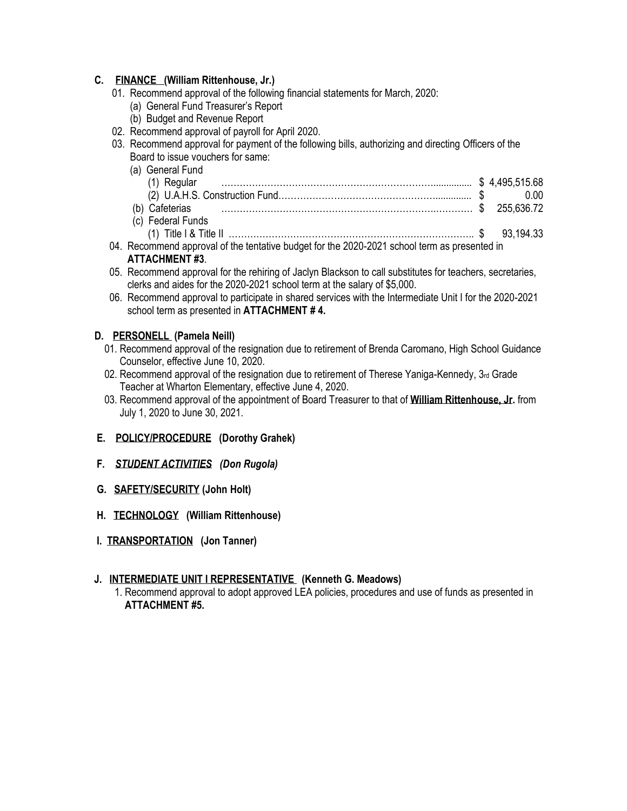## **C. FINANCE (William Rittenhouse, Jr.)**

- 01. Recommend approval of the following financial statements for March, 2020:
	- (a) General Fund Treasurer's Report
	- (b) Budget and Revenue Report
- 02. Recommend approval of payroll for April 2020.
- 03. Recommend approval for payment of the following bills, authorizing and directing Officers of the Board to issue vouchers for same:
	- (a) General Fund (1) Regular ……………………………………………………………............... \$ 4,495,515.68 (2) U.A.H.S. Construction Fund…………………………………………….............. \$ 0.00 (b) Cafeterias …………………………………………………………….………… \$ 255,636.72 (c) Federal Funds (1) Title I & Title II …………………………………………………………………….. \$ 93,194.33
- 04. Recommend approval of the tentative budget for the 2020-2021 school term as presented in **ATTACHMENT #3**.
- 05. Recommend approval for the rehiring of Jaclyn Blackson to call substitutes for teachers, secretaries, clerks and aides for the 2020-2021 school term at the salary of \$5,000.
- 06. Recommend approval to participate in shared services with the Intermediate Unit I for the 2020-2021 school term as presented in **ATTACHMENT # 4.**

#### **D. PERSONELL (Pamela Neill)**

- 01. Recommend approval of the resignation due to retirement of Brenda Caromano, High School Guidance Counselor, effective June 10, 2020.
- 02. Recommend approval of the resignation due to retirement of Therese Yaniga-Kennedy, 3rd Grade Teacher at Wharton Elementary, effective June 4, 2020.
- 03. Recommend approval of the appointment of Board Treasurer to that of **William Rittenhouse, Jr.** from July 1, 2020 to June 30, 2021.
- **E. POLICY/PROCEDURE (Dorothy Grahek)**
- **F***. STUDENT ACTIVITIES (Don Rugola)*
- **G. SAFETY/SECURITY (John Holt)**
- **H. TECHNOLOGY (William Rittenhouse)**
- **I. TRANSPORTATION (Jon Tanner)**

## **J. INTERMEDIATE UNIT I REPRESENTATIVE (Kenneth G. Meadows)**

 1. Recommend approval to adopt approved LEA policies, procedures and use of funds as presented in **ATTACHMENT #5.**